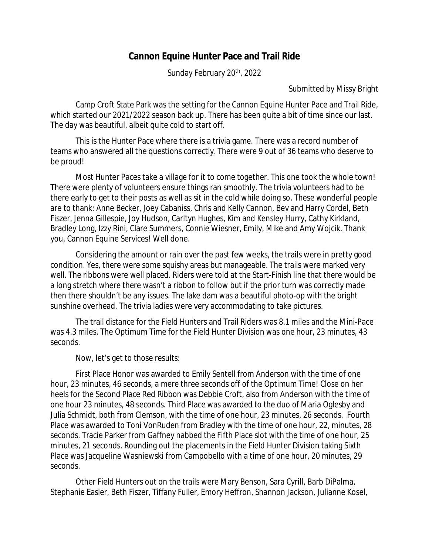## **Cannon Equine Hunter Pace and Trail Ride**

Sunday February 20<sup>th</sup>, 2022

Submitted by Missy Bright

Camp Croft State Park was the setting for the Cannon Equine Hunter Pace and Trail Ride, which started our 2021/2022 season back up. There has been quite a bit of time since our last. The day was beautiful, albeit quite cold to start off.

This is the Hunter Pace where there is a trivia game. There was a record number of teams who answered all the questions correctly. There were 9 out of 36 teams who deserve to be proud!

Most Hunter Paces take a village for it to come together. This one took the whole town! There were plenty of volunteers ensure things ran smoothly. The trivia volunteers had to be there early to get to their posts as well as sit in the cold while doing so. These wonderful people are to thank: Anne Becker, Joey Cabaniss, Chris and Kelly Cannon, Bev and Harry Cordel, Beth Fiszer, Jenna Gillespie, Joy Hudson, Carltyn Hughes, Kim and Kensley Hurry, Cathy Kirkland, Bradley Long, Izzy Rini, Clare Summers, Connie Wiesner, Emily, Mike and Amy Wojcik. Thank you, Cannon Equine Services! Well done.

Considering the amount or rain over the past few weeks, the trails were in pretty good condition. Yes, there were some squishy areas but manageable. The trails were marked very well. The ribbons were well placed. Riders were told at the Start-Finish line that there would be a long stretch where there wasn't a ribbon to follow but if the prior turn was correctly made then there shouldn't be any issues. The lake dam was a beautiful photo-op with the bright sunshine overhead. The trivia ladies were very accommodating to take pictures.

The trail distance for the Field Hunters and Trail Riders was 8.1 miles and the Mini-Pace was 4.3 miles. The Optimum Time for the Field Hunter Division was one hour, 23 minutes, 43 seconds.

Now, let's get to those results:

First Place Honor was awarded to Emily Sentell from Anderson with the time of one hour, 23 minutes, 46 seconds, a mere three seconds off of the Optimum Time! Close on her heels for the Second Place Red Ribbon was Debbie Croft, also from Anderson with the time of one hour 23 minutes, 48 seconds. Third Place was awarded to the duo of Maria Oglesby and Julia Schmidt, both from Clemson, with the time of one hour, 23 minutes, 26 seconds. Fourth Place was awarded to Toni VonRuden from Bradley with the time of one hour, 22, minutes, 28 seconds. Tracie Parker from Gaffney nabbed the Fifth Place slot with the time of one hour, 25 minutes, 21 seconds. Rounding out the placements in the Field Hunter Division taking Sixth Place was Jacqueline Wasniewski from Campobello with a time of one hour, 20 minutes, 29 seconds.

Other Field Hunters out on the trails were Mary Benson, Sara Cyrill, Barb DiPalma, Stephanie Easler, Beth Fiszer, Tiffany Fuller, Emory Heffron, Shannon Jackson, Julianne Kosel,